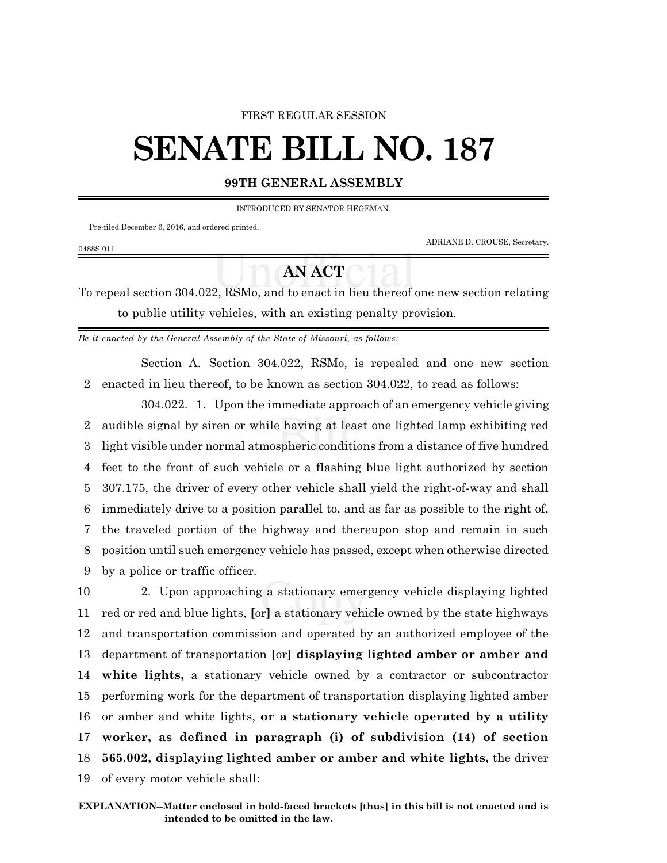## FIRST REGULAR SESSION

## **SENATE BILL NO. 187**

## **99TH GENERAL ASSEMBLY**

INTRODUCED BY SENATOR HEGEMAN.

Pre-filed December 6, 2016, and ordered printed.

0488S.01I

ADRIANE D. CROUSE, Secretary.

## **AN ACT**

To repeal section 304.022, RSMo, and to enact in lieu thereof one new section relating to public utility vehicles, with an existing penalty provision.

*Be it enacted by the General Assembly of the State of Missouri, as follows:*

Section A. Section 304.022, RSMo, is repealed and one new section 2 enacted in lieu thereof, to be known as section 304.022, to read as follows:

304.022. 1. Upon the immediate approach of an emergency vehicle giving audible signal by siren or while having at least one lighted lamp exhibiting red light visible under normal atmospheric conditions from a distance of five hundred feet to the front of such vehicle or a flashing blue light authorized by section 307.175, the driver of every other vehicle shall yield the right-of-way and shall immediately drive to a position parallel to, and as far as possible to the right of, the traveled portion of the highway and thereupon stop and remain in such position until such emergency vehicle has passed, except when otherwise directed by a police or traffic officer.

 2. Upon approaching a stationary emergency vehicle displaying lighted red or red and blue lights, **[**or**]** a stationary vehicle owned by the state highways and transportation commission and operated by an authorized employee of the department of transportation **[**or**] displaying lighted amber or amber and white lights,** a stationary vehicle owned by a contractor or subcontractor performing work for the department of transportation displaying lighted amber or amber and white lights, **or a stationary vehicle operated by a utility worker, as defined in paragraph (i) of subdivision (14) of section 565.002, displaying lighted amber or amber and white lights,** the driver of every motor vehicle shall: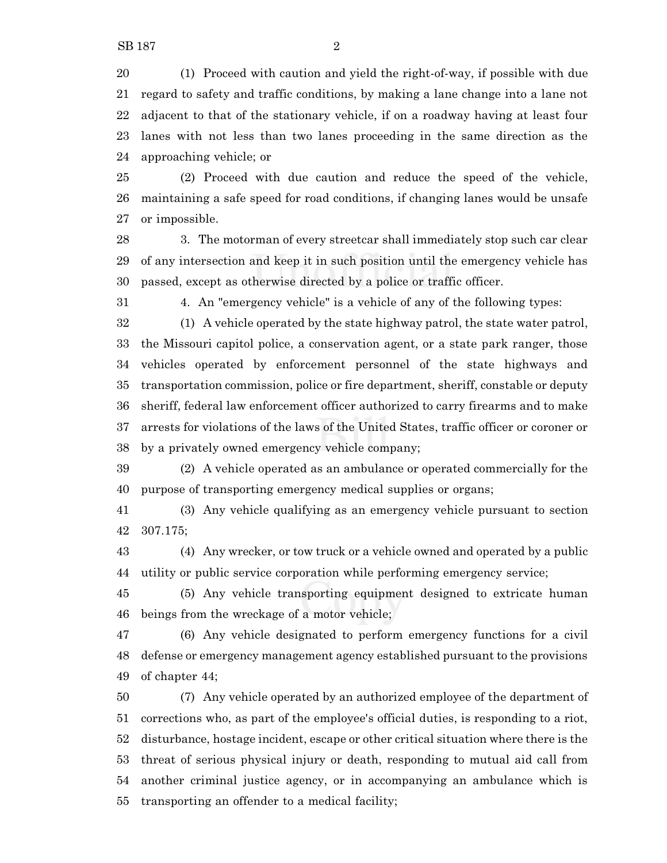(1) Proceed with caution and yield the right-of-way, if possible with due regard to safety and traffic conditions, by making a lane change into a lane not adjacent to that of the stationary vehicle, if on a roadway having at least four lanes with not less than two lanes proceeding in the same direction as the approaching vehicle; or

 (2) Proceed with due caution and reduce the speed of the vehicle, maintaining a safe speed for road conditions, if changing lanes would be unsafe or impossible.

 3. The motorman of every streetcar shall immediately stop such car clear of any intersection and keep it in such position until the emergency vehicle has passed, except as otherwise directed by a police or traffic officer.

4. An "emergency vehicle" is a vehicle of any of the following types:

 (1) A vehicle operated by the state highway patrol, the state water patrol, the Missouri capitol police, a conservation agent, or a state park ranger, those vehicles operated by enforcement personnel of the state highways and transportation commission, police or fire department, sheriff, constable or deputy sheriff, federal law enforcement officer authorized to carry firearms and to make arrests for violations of the laws of the United States, traffic officer or coroner or by a privately owned emergency vehicle company;

 (2) A vehicle operated as an ambulance or operated commercially for the purpose of transporting emergency medical supplies or organs;

 (3) Any vehicle qualifying as an emergency vehicle pursuant to section 307.175;

 (4) Any wrecker, or tow truck or a vehicle owned and operated by a public utility or public service corporation while performing emergency service;

 (5) Any vehicle transporting equipment designed to extricate human beings from the wreckage of a motor vehicle;

 (6) Any vehicle designated to perform emergency functions for a civil defense or emergency management agency established pursuant to the provisions of chapter 44;

 (7) Any vehicle operated by an authorized employee of the department of corrections who, as part of the employee's official duties, is responding to a riot, disturbance, hostage incident, escape or other critical situation where there is the threat of serious physical injury or death, responding to mutual aid call from another criminal justice agency, or in accompanying an ambulance which is transporting an offender to a medical facility;